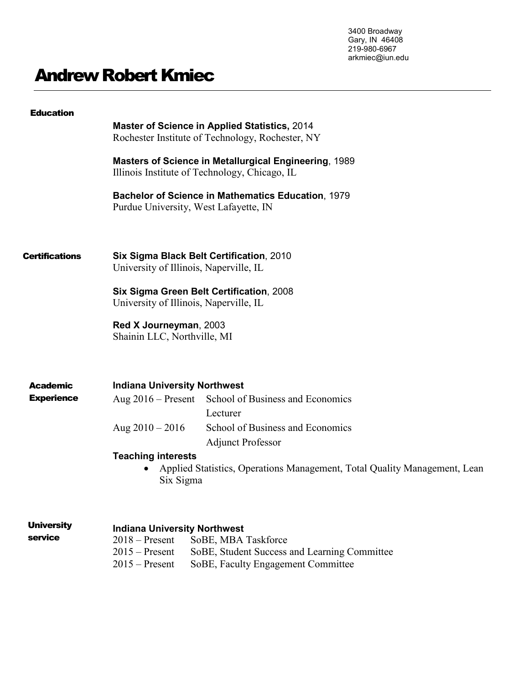3400 Broadway Gary, IN 46408 219-980-6967 arkmiec@iun.edu

# Andrew Robert Kmiec

| <b>Education</b>      | <b>Master of Science in Applied Statistics, 2014</b><br>Rochester Institute of Technology, Rochester, NY            |  |  |
|-----------------------|---------------------------------------------------------------------------------------------------------------------|--|--|
|                       | <b>Masters of Science in Metallurgical Engineering, 1989</b><br>Illinois Institute of Technology, Chicago, IL       |  |  |
|                       | <b>Bachelor of Science in Mathematics Education, 1979</b><br>Purdue University, West Lafayette, IN                  |  |  |
| <b>Certifications</b> | Six Sigma Black Belt Certification, 2010<br>University of Illinois, Naperville, IL                                  |  |  |
|                       | Six Sigma Green Belt Certification, 2008<br>University of Illinois, Naperville, IL                                  |  |  |
|                       | Red X Journeyman, 2003<br>Shainin LLC, Northville, MI                                                               |  |  |
| Academic              | <b>Indiana University Northwest</b>                                                                                 |  |  |
| <b>Experience</b>     | Aug 2016 – Present School of Business and Economics<br>Lecturer                                                     |  |  |
|                       | School of Business and Economics<br>Aug $2010 - 2016$<br><b>Adjunct Professor</b>                                   |  |  |
|                       | <b>Teaching interests</b><br>Applied Statistics, Operations Management, Total Quality Management, Lean<br>Six Sigma |  |  |
| <b>University</b>     | Indiana Hniversity Northwest                                                                                        |  |  |

# **Indiana University Northwest**

2018 – Present SoBE, MBA Taskforce<br>2015 – Present SoBE, Student Success SoBE, Student Success and Learning Committee 2015 – Present SoBE, Faculty Engagement Committee